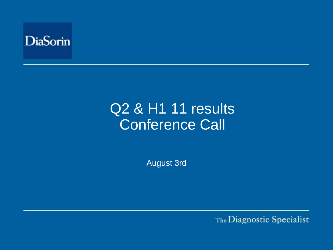

# Q2 & H1 11 results Conference Call

August 3rd

The Diagnostic Specialist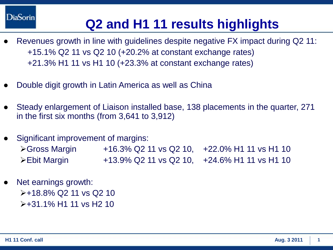**DiaSorin** 

## **Q2 and H1 11 results highlights**

- Revenues growth in line with guidelines despite negative FX impact during Q2 11: +15.1% Q2 11 vs Q2 10 (+20.2% at constant exchange rates) +21.3% H1 11 vs H1 10 (+23.3% at constant exchange rates)
- Double digit growth in Latin America as well as China
- Steady enlargement of Liaison installed base, 138 placements in the quarter, 271 in the first six months (from 3,641 to 3,912)
- Significant improvement of margins:
	- **≻Gross Margin** +16.3% Q2 11 vs Q2 10, +22.0% H1 11 vs H1 10 **Ebit Margin** +13.9% Q2 11 vs Q2 10, +24.6% H1 11 vs H1 10→
- Net earnings growth:  $\ge +18.8\%$  Q 211 vs Q 210  $\ge +31.1\%$  H1 11 vs H2 10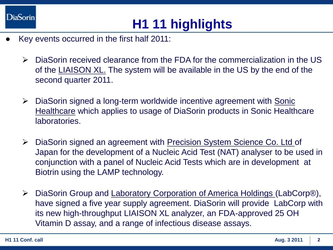

## **H1 11 highlights**

- Key events occurred in the first half 2011:
	- DiaSorin received clearance from the FDA for the commercialization in the US of the LIAISON XL. The system will be available in the US by the end of the second quarter 2011.
	- $\triangleright$  DiaSorin signed a long-term worldwide incentive agreement with Sonic Healthcare which applies to usage of DiaSorin products in Sonic Healthcare laboratories.
	- ▶ DiaSorin signed an agreement with Precision System Science Co. Ltd of Japan for the development of a Nucleic Acid Test (NAT) analyser to be used in conjunction with a panel of Nucleic Acid Tests which are in development at Biotrin using the LAMP technology.
	- DiaSorin Group and Laboratory Corporation of America Holdings (LabCorp®), have signed a five year supply agreement. DiaSorin will provide LabCorp with its new high-throughput LIAISON XL analyzer, an FDA-approved 25 OH Vitamin D assay, and a range of infectious disease assays.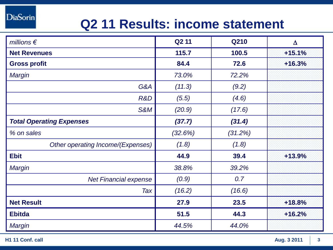**DiaSorin** 

## **Q2 11 Results: income statement**

| millions $\epsilon$               | Q <sub>2</sub> 11 | <b>Q210</b> | $\Delta$ |
|-----------------------------------|-------------------|-------------|----------|
| <b>Net Revenues</b>               | 115.7             | 100.5       | $+15.1%$ |
| <b>Gross profit</b>               | 84.4              | 72.6        | $+16.3%$ |
| Margin                            | 73.0%             | 72.2%       |          |
| G&A                               | (11.3)            | (9.2)       |          |
| R&D                               | (5.5)             | (4.6)       |          |
| S&M                               | (20.9)            | (17.6)      |          |
| <b>Total Operating Expenses</b>   | (37.7)            | (31.4)      |          |
| % on sales                        | (32.6%)           | (31.2%)     |          |
| Other operating Income/(Expenses) | (1.8)             | (1.8)       |          |
| <b>Ebit</b>                       | 44.9              | 39.4        | $+13.9%$ |
| <b>Margin</b>                     | 38.8%             | 39.2%       |          |
| <b>Net Financial expense</b>      | (0.9)             | 0.7         |          |
| Tax                               | (16.2)            | (16.6)      |          |
| <b>Net Result</b>                 | 27.9              | 23.5        | $+18.8%$ |
| <b>Ebitda</b>                     | 51.5              | 44.3        | $+16.2%$ |
| <b>Margin</b>                     | 44.5%             | 44.0%       |          |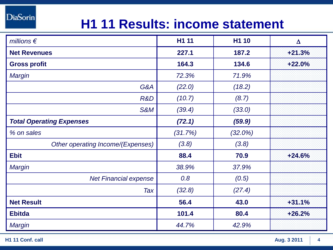#### **DiaSorin**

## **H1 11 Results: income statement**

| millions $\epsilon$               | H1 11   | H1 10      | $\Delta$ |
|-----------------------------------|---------|------------|----------|
| <b>Net Revenues</b>               | 227.1   | 187.2      | $+21.3%$ |
| <b>Gross profit</b>               | 164.3   | 134.6      | $+22.0%$ |
| <b>Margin</b>                     | 72.3%   | 71.9%      |          |
| G&A                               | (22.0)  | (18.2)     |          |
| R&D                               | (10.7)  | (8.7)      |          |
| S&M                               | (39.4)  | (33.0)     |          |
| <b>Total Operating Expenses</b>   | (72.1)  | (59.9)     |          |
| % on sales                        | (31.7%) | $(32.0\%)$ |          |
| Other operating Income/(Expenses) | (3.8)   | (3.8)      |          |
| <b>Ebit</b>                       | 88.4    | 70.9       | $+24.6%$ |
| <b>Margin</b>                     | 38.9%   | 37.9%      |          |
| <b>Net Financial expense</b>      | 0.8     | (0.5)      |          |
| Tax                               | (32.8)  | (27.4)     |          |
| <b>Net Result</b>                 | 56.4    | 43.0       | $+31.1%$ |
| <b>Ebitda</b>                     | 101.4   | 80.4       | $+26.2%$ |
| <b>Margin</b>                     | 44.7%   | 42.9%      |          |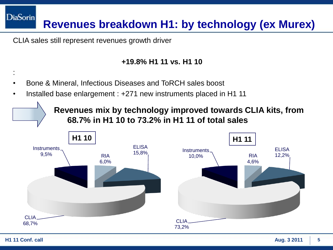**DiaSorin Revenues breakdown H1: by technology (ex Murex)**

CLIA sales still represent revenues growth driver

#### **+19.8% H1 11 vs. H1 10**

- Bone & Mineral, Infectious Diseases and ToRCH sales boost
- Installed base enlargement : +271 new instruments placed in H1 11

**Revenues mix by technology improved towards CLIA kits, from 68.7% in H1 10 to 73.2% in H1 11 of total sales** 



: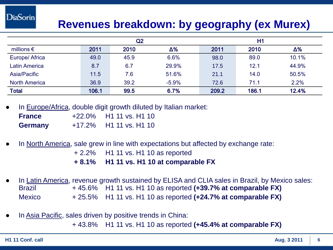#### **Revenues breakdown: by geography (ex Murex)**

|                      |       | Q2   |            | H1    |       |            |
|----------------------|-------|------|------------|-------|-------|------------|
| millions $\epsilon$  | 2011  | 2010 | $\Delta\%$ | 2011  | 2010  | $\Delta\%$ |
| Europe/ Africa       | 49.0  | 45.9 | 6.6%       | 98.0  | 89.0  | 10.1%      |
| <b>Latin America</b> | 8.7   | 6.7  | 29.9%      | 17.5  | 12.1  | 44.9%      |
| Asia/Pacific         | 11.5  | 7.6  | 51.6%      | 21.1  | 14.0  | 50.5%      |
| <b>North America</b> | 36.9  | 39.2 | $-5.9%$    | 72.6  | 71.1  | 2.2%       |
| <b>Total</b>         | 106.1 | 99.5 | 6.7%       | 209.2 | 186.1 | 12.4%      |

In Europe/Africa, double digit growth diluted by Italian market:

| <b>France</b>  | $+22.0\%$ H1 11 vs. H1 10 |
|----------------|---------------------------|
| <b>Germany</b> | $+17.2\%$ H1 11 vs. H1 10 |

- In North America, sale grew in line with expectations but affected by exchange rate:
	- + 2.2% H1 11 vs. H1 10 as reported
	- **+ 8.1% H1 11 vs. H1 10 at comparable FX**
- In Latin America, revenue growth sustained by ELISA and CLIA sales in Brazil, by Mexico sales: Brazil + 45.6% H1 11 vs. H1 10 as reported **(+39.7% at comparable FX)** Mexico + 25.5% H1 11 vs. H1 10 as reported **(+24.7% at comparable FX)**
- In Asia Pacific, sales driven by positive trends in China: + 43.8% H1 11 vs. H1 10 as reported **(+45.4% at comparable FX)**

**DiaSorin**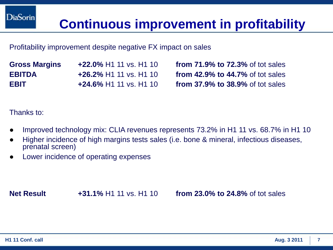## **Continuous improvement in profitability**

#### Profitability improvement despite negative FX impact on sales

**Gross Margins +22.0%** H1 11 vs. H1 10 **from 71.9% to 72.3%** of tot sales **EBITDA +26.2%** H1 11 vs. H1 10 **from 42.9% to 44.7%** of tot sales **EBIT +24.6%** H1 11 vs. H1 10 **from 37.9% to 38.9%** of tot sales

Thanks to:

- Improved technology mix: CLIA revenues represents 73.2% in H1 11 vs. 68.7% in H1 10
- Higher incidence of high margins tests sales (i.e. bone & mineral, infectious diseases, prenatal screen)
- Lower incidence of operating expenses

**Net Result +31.1%** H1 11 vs. H1 10 **from 23.0% to 24.8%** of tot sales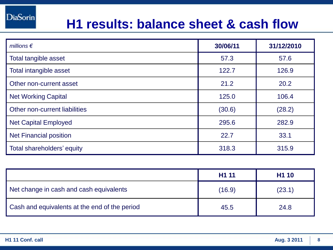#### **H1 results: balance sheet & cash flow**

| millions $\epsilon$           | 30/06/11 | 31/12/2010 |
|-------------------------------|----------|------------|
| Total tangible asset          | 57.3     | 57.6       |
| Total intangible asset        | 122.7    | 126.9      |
| Other non-current asset       | 21.2     | 20.2       |
| <b>Net Working Capital</b>    | 125.0    | 106.4      |
| Other non-current liabilities | (30.6)   | (28.2)     |
| <b>Net Capital Employed</b>   | 295.6    | 282.9      |
| <b>Net Financial position</b> | 22.7     | 33.1       |
| Total shareholders' equity    | 318.3    | 315.9      |

|                                               | H <sub>1</sub> 11 | H <sub>1</sub> 10 |
|-----------------------------------------------|-------------------|-------------------|
| Net change in cash and cash equivalents       | (16.9)            | (23.1)            |
| Cash and equivalents at the end of the period | 45.5              | 24.8              |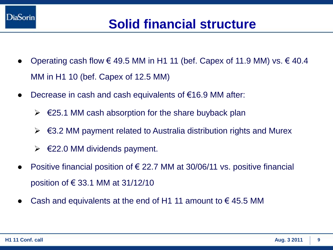

## **Solid financial structure**

- Operating cash flow € 49.5 MM in H1 11 (bef. Capex of 11.9 MM) vs.  $€ 40.4$ MM in H1 10 (bef. Capex of 12.5 MM)
- Decrease in cash and cash equivalents of  $€16.9$  MM after:
	- $\triangleright$   $\in$  25.1 MM cash absorption for the share buyback plan
	- $\triangleright$   $\in$  3.2 MM payment related to Australia distribution rights and Murex
	- $\triangleright$   $\in$  22.0 MM dividends payment.
- Positive financial position of  $\epsilon$  22.7 MM at 30/06/11 vs. positive financial position of  $\epsilon$  33.1 MM at 31/12/10
- Cash and equivalents at the end of H1 11 amount to  $\epsilon$  45.5 MM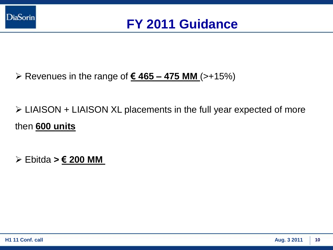

- Revenues in the range of **€ 465 – 475 MM** (>+15%)
- LIAISON + LIAISON XL placements in the full year expected of more then **600 units**
- Ebitda **> € 200 MM**